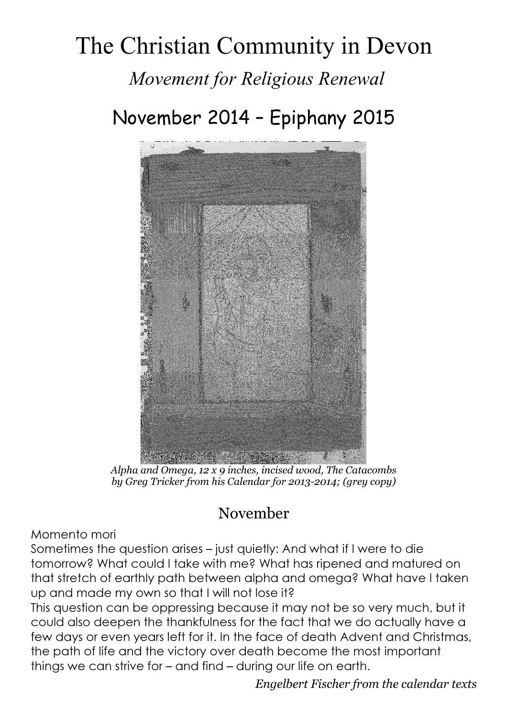# The Christian Community in Devon Movement for Religious Renewal

### November 2014 – Epiphany 2015



Alpha and Omega, 12 x 9 inches, incised wood, The Catacombs by Greg Tricker from his Calendar for 2013-2014; (grey copy)

#### November

Momento mori

Sometimes the question arises – just quietly: And what if I were to die tomorrow? What could I take with me? What has ripened and matured on that stretch of earthly path between alpha and omega? What have I taken up and made my own so that I will not lose it?

This question can be oppressing because it may not be so very much, but it could also deepen the thankfulness for the fact that we do actually have a few days or even years left for it. In the face of death Advent and Christmas, the path of life and the victory over death become the most important things we can strive for – and find – during our life on earth.

Engelbert Fischer from the calendar texts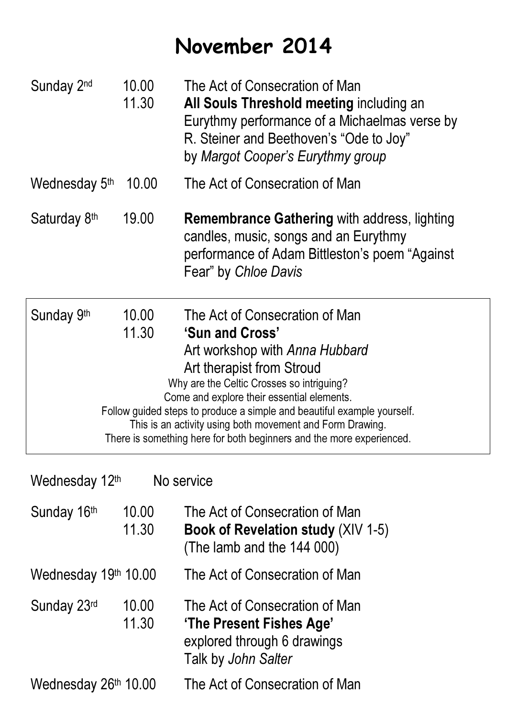## November 2014

| Sunday 2 <sup>nd</sup>       | 10.00<br>11.30 | The Act of Consecration of Man<br>All Souls Threshold meeting including an<br>Eurythmy performance of a Michaelmas verse by<br>R. Steiner and Beethoven's "Ode to Joy"<br>by Margot Cooper's Eurythmy group                                                                                                                                                                                                                 |  |
|------------------------------|----------------|-----------------------------------------------------------------------------------------------------------------------------------------------------------------------------------------------------------------------------------------------------------------------------------------------------------------------------------------------------------------------------------------------------------------------------|--|
| Wednesday 5th                | 10.00          | The Act of Consecration of Man                                                                                                                                                                                                                                                                                                                                                                                              |  |
| Saturday 8th                 | 19.00          | <b>Remembrance Gathering with address, lighting</b><br>candles, music, songs and an Eurythmy<br>performance of Adam Bittleston's poem "Against"<br>Fear" by Chloe Davis                                                                                                                                                                                                                                                     |  |
| Sunday 9th                   | 10.00<br>11.30 | The Act of Consecration of Man<br>'Sun and Cross'<br>Art workshop with Anna Hubbard<br>Art therapist from Stroud<br>Why are the Celtic Crosses so intriguing?<br>Come and explore their essential elements.<br>Follow guided steps to produce a simple and beautiful example yourself.<br>This is an activity using both movement and Form Drawing.<br>There is something here for both beginners and the more experienced. |  |
| No service<br>Wednesday 12th |                |                                                                                                                                                                                                                                                                                                                                                                                                                             |  |

| Sunday 16th          | 10.00<br>11.30 | The Act of Consecration of Man<br><b>Book of Revelation study (XIV 1-5)</b><br>(The lamb and the 144 000)        |  |
|----------------------|----------------|------------------------------------------------------------------------------------------------------------------|--|
| Wednesday 19th 10.00 |                | The Act of Consecration of Man                                                                                   |  |
| Sunday 23rd          | 10.00<br>11.30 | The Act of Consecration of Man<br>'The Present Fishes Age'<br>explored through 6 drawings<br>Talk by John Salter |  |
| Wednesday 26th 10.00 |                | The Act of Consecration of Man                                                                                   |  |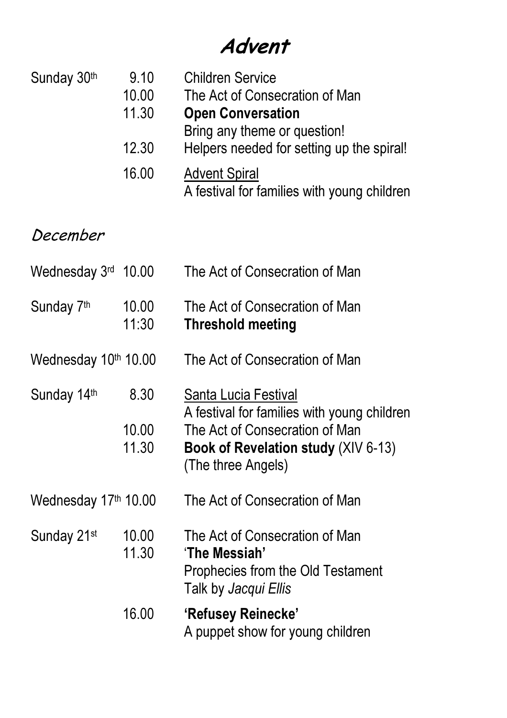### Advent

| Sunday 30th                      | 9.10<br>10.00<br>11.30<br>12.30 | <b>Children Service</b><br>The Act of Consecration of Man<br><b>Open Conversation</b><br>Bring any theme or question!<br>Helpers needed for setting up the spiral!        |
|----------------------------------|---------------------------------|---------------------------------------------------------------------------------------------------------------------------------------------------------------------------|
|                                  | 16.00                           | <b>Advent Spiral</b><br>A festival for families with young children                                                                                                       |
| December                         |                                 |                                                                                                                                                                           |
| Wednesday $3rd$ 10.00            |                                 | The Act of Consecration of Man                                                                                                                                            |
| Sunday 7th                       | 10.00<br>11:30                  | The Act of Consecration of Man<br><b>Threshold meeting</b>                                                                                                                |
| Wednesday 10th 10.00             |                                 | The Act of Consecration of Man                                                                                                                                            |
| Sunday 14th                      | 8.30<br>10.00<br>11.30          | Santa Lucia Festival<br>A festival for families with young children<br>The Act of Consecration of Man<br><b>Book of Revelation study (XIV 6-13)</b><br>(The three Angels) |
| Wednesday 17 <sup>th</sup> 10.00 |                                 | The Act of Consecration of Man                                                                                                                                            |
| Sunday 21 <sup>st</sup>          | 10.00<br>11.30                  | The Act of Consecration of Man<br>'The Messiah'<br>Prophecies from the Old Testament<br>Talk by Jacqui Ellis                                                              |
|                                  | 16.00                           | 'Refusey Reinecke'<br>A puppet show for young children                                                                                                                    |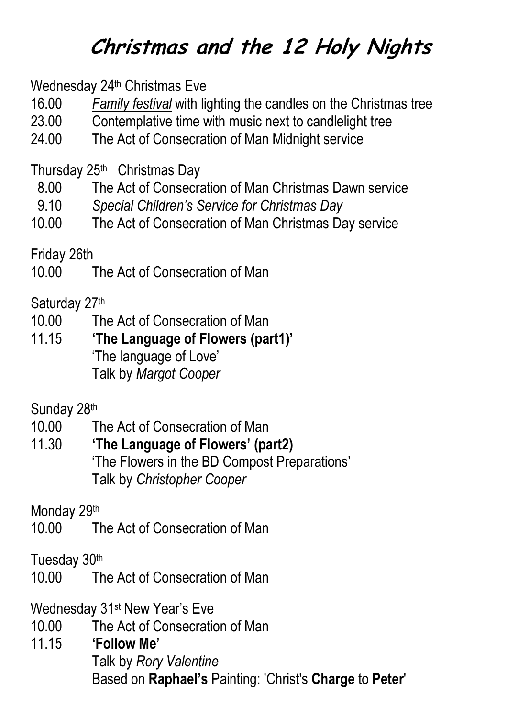## Christmas and the 12 Holy Nights

Wednesday 24<sup>th</sup> Christmas Eve

- 16.00 Family festival with lighting the candles on the Christmas tree
- 23.00 Contemplative time with music next to candlelight tree
- 24.00 The Act of Consecration of Man Midnight service

Thursday 25th Christmas Day

- 8.00 The Act of Consecration of Man Christmas Dawn service
- 9.10 Special Children's Service for Christmas Day
- 10.00 The Act of Consecration of Man Christmas Day service

Friday 26th

10.00 The Act of Consecration of Man

Saturday 27th

- 10.00 The Act of Consecration of Man
- 11.15 'The Language of Flowers (part1)' 'The language of Love' Talk by Margot Cooper

Sunday 28th

- 10.00 The Act of Consecration of Man
- 11.30 'The Language of Flowers' (part2) 'The Flowers in the BD Compost Preparations' Talk by Christopher Cooper

Monday 29th

10.00 The Act of Consecration of Man

Tuesday 30th

10.00 The Act of Consecration of Man

Wednesday 31st New Year's Eve

- 10.00 The Act of Consecration of Man
- 11.15 'Follow Me' Talk by Rory Valentine Based on Raphael's Painting: 'Christ's Charge to Peter'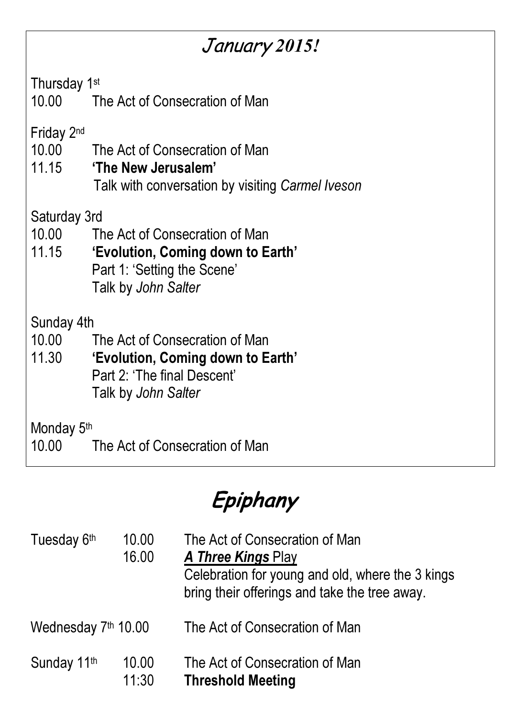### January 2015!

Thursday 1st

10.00 The Act of Consecration of Man

Friday 2nd

- 10.00 The Act of Consecration of Man
- 11.15 'The New Jerusalem'
	- Talk with conversation by visiting Carmel Iveson

Saturday 3rd

- 10.00 The Act of Consecration of Man
- 11.15 'Evolution, Coming down to Earth' Part 1: 'Setting the Scene' Talk by John Salter

Sunday 4th

- 10.00 The Act of Consecration of Man
- 11.30 'Evolution, Coming down to Earth' Part 2: 'The final Descent' Talk by John Salter

Monday 5<sup>th</sup>

10.00 The Act of Consecration of Man

Epiphany

| Tuesday 6th         | 10.00<br>16.00 | The Act of Consecration of Man<br><b>A Three Kings Play</b><br>Celebration for young and old, where the 3 kings<br>bring their offerings and take the tree away. |
|---------------------|----------------|------------------------------------------------------------------------------------------------------------------------------------------------------------------|
| Wednesday 7th 10.00 |                | The Act of Consecration of Man                                                                                                                                   |
| Sunday 11th         | 10.00<br>11:30 | The Act of Consecration of Man<br><b>Threshold Meeting</b>                                                                                                       |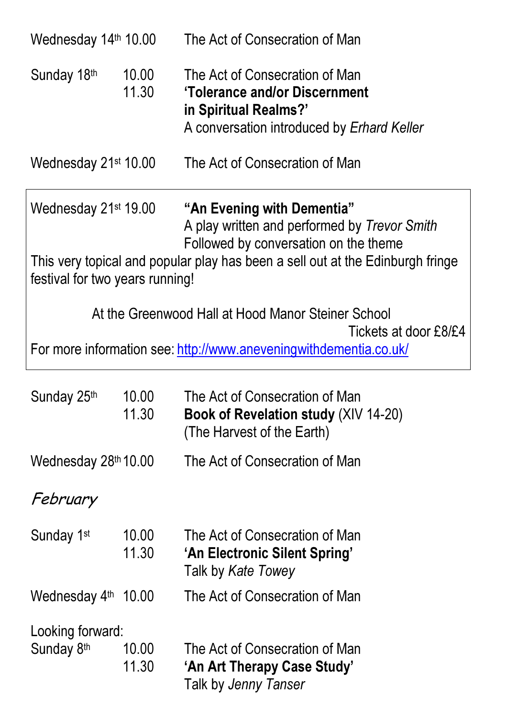| Wednesday 14th 10.00                                                                       |                | The Act of Consecration of Man                                                                                                                                                                        |  |
|--------------------------------------------------------------------------------------------|----------------|-------------------------------------------------------------------------------------------------------------------------------------------------------------------------------------------------------|--|
| Sunday 18th                                                                                | 10.00<br>11.30 | The Act of Consecration of Man<br>'Tolerance and/or Discernment<br>in Spiritual Realms?'<br>A conversation introduced by Erhard Keller                                                                |  |
| Wednesday 21 <sup>st</sup> 10.00                                                           |                | The Act of Consecration of Man                                                                                                                                                                        |  |
| Wednesday 21 <sup>st</sup> 19.00<br>festival for two years running!                        |                | "An Evening with Dementia"<br>A play written and performed by Trevor Smith<br>Followed by conversation on the theme<br>This very topical and popular play has been a sell out at the Edinburgh fringe |  |
|                                                                                            |                | At the Greenwood Hall at Hood Manor Steiner School                                                                                                                                                    |  |
| Tickets at door £8/£4<br>For more information see: http://www.aneveningwithdementia.co.uk/ |                |                                                                                                                                                                                                       |  |
| Sunday 25th                                                                                | 10.00<br>11.30 | The Act of Consecration of Man<br>Book of Revelation study (XIV 14-20)<br>(The Harvest of the Earth)                                                                                                  |  |
| Wednesday 28th 10.00                                                                       |                | The Act of Consecration of Man                                                                                                                                                                        |  |
| February                                                                                   |                |                                                                                                                                                                                                       |  |
| Sunday 1 <sup>st</sup>                                                                     | 10.00<br>11.30 | The Act of Consecration of Man<br>'An Electronic Silent Spring'<br>Talk by Kate Towey                                                                                                                 |  |
| Wednesday 4th                                                                              | 10.00          | The Act of Consecration of Man                                                                                                                                                                        |  |
| Looking forward:                                                                           |                |                                                                                                                                                                                                       |  |
| Sunday 8 <sup>th</sup>                                                                     | 10.00<br>11.30 | The Act of Consecration of Man<br>'An Art Therapy Case Study'<br>Talk by Jenny Tanser                                                                                                                 |  |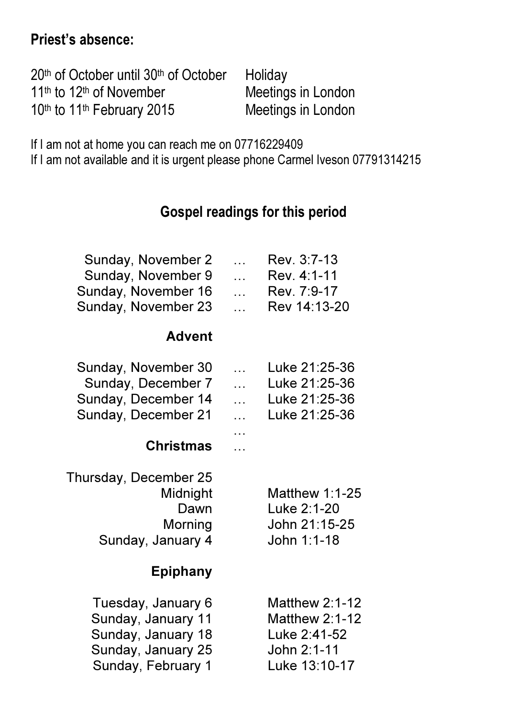#### Priest's absence:

| $20th$ of October until $30th$ of October        | Holiday            |
|--------------------------------------------------|--------------------|
| 11 <sup>th</sup> to 12 <sup>th</sup> of November | Meetings in London |
| 10th to 11th February 2015                       | Meetings in London |

If I am not at home you can reach me on 07716229409

If I am not available and it is urgent please phone Carmel Iveson 07791314215

#### Gospel readings for this period

| Sunday, November 2<br>Sunday, November 9<br>Sunday, November 16<br>Sunday, November 23                     | $\ddotsc$<br>$\ddotsc$<br>$\mathbb{R}^2$<br>$\ddotsc$ | Rev. 3:7-13<br>Rev. 4:1-11<br>Rev. 7:9-17<br>Rev 14:13-20                                      |
|------------------------------------------------------------------------------------------------------------|-------------------------------------------------------|------------------------------------------------------------------------------------------------|
| <b>Advent</b>                                                                                              |                                                       |                                                                                                |
| Sunday, November 30<br>Sunday, December 7<br>Sunday, December 14<br>Sunday, December 21                    | $\ddotsc$<br>$\ddotsc$<br>$\ddotsc$<br>.              | Luke 21:25-36<br>Luke 21:25-36<br>Luke 21:25-36<br>Luke 21:25-36                               |
| <b>Christmas</b>                                                                                           |                                                       |                                                                                                |
| Thursday, December 25<br>Midnight<br>Dawn<br>Morning<br>Sunday, January 4                                  |                                                       | Matthew $1:1-25$<br>Luke 2:1-20<br>John 21:15-25<br>John 1:1-18                                |
| <b>Epiphany</b>                                                                                            |                                                       |                                                                                                |
| Tuesday, January 6<br>Sunday, January 11<br>Sunday, January 18<br>Sunday, January 25<br>Sunday, February 1 |                                                       | <b>Matthew 2:1-12</b><br><b>Matthew 2:1-12</b><br>Luke 2:41-52<br>John 2:1-11<br>Luke 13:10-17 |